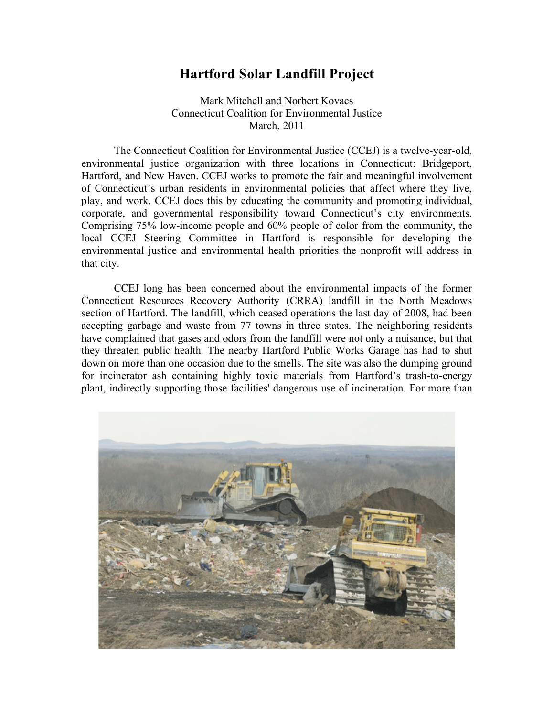## **Hartford Solar Landfill Project**

Mark Mitchell and Norbert Kovacs Connecticut Coalition for Environmental Justice March, 2011

The Connecticut Coalition for Environmental Justice (CCEJ) is a twelve-year-old, environmental justice organization with three locations in Connecticut: Bridgeport, Hartford, and New Haven. CCEJ works to promote the fair and meaningful involvement of Connecticut's urban residents in environmental policies that affect where they live, play, and work. CCEJ does this by educating the community and promoting individual, corporate, and governmental responsibility toward Connecticut's city environments. Comprising 75% low-income people and 60% people of color from the community, the local CCEJ Steering Committee in Hartford is responsible for developing the environmental justice and environmental health priorities the nonprofit will address in that city.

CCEJ long has been concerned about the environmental impacts of the former Connecticut Resources Recovery Authority (CRRA) landfill in the North Meadows section of Hartford. The landfill, which ceased operations the last day of 2008, had been accepting garbage and waste from 77 towns in three states. The neighboring residents have complained that gases and odors from the landfill were not only a nuisance, but that they threaten public health. The nearby Hartford Public Works Garage has had to shut down on more than one occasion due to the smells. The site was also the dumping ground for incinerator ash containing highly toxic materials from Hartford's trash-to-energy plant, indirectly supporting those facilities' dangerous use of incineration. For more than

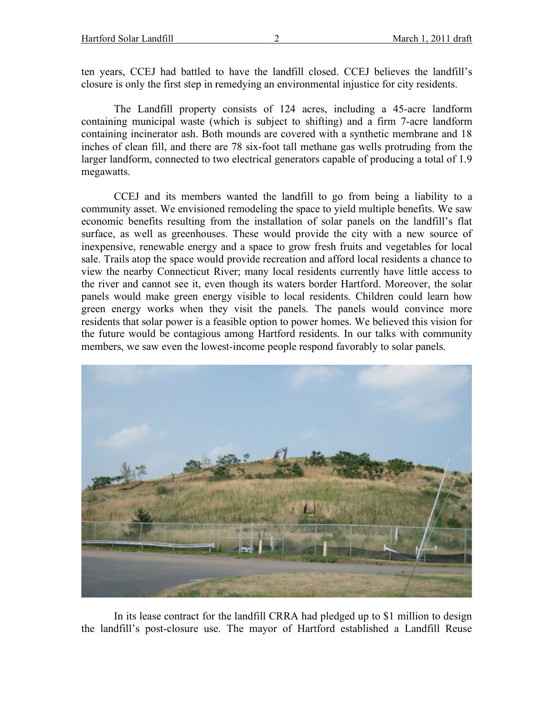ten years, CCEJ had battled to have the landfill closed. CCEJ believes the landfill's closure is only the first step in remedying an environmental injustice for city residents.

The Landfill property consists of 124 acres, including a 45-acre landform containing municipal waste (which is subject to shifting) and a firm 7-acre landform containing incinerator ash. Both mounds are covered with a synthetic membrane and 18 inches of clean fill, and there are 78 six-foot tall methane gas wells protruding from the larger landform, connected to two electrical generators capable of producing a total of 1.9 megawatts.

CCEJ and its members wanted the landfill to go from being a liability to a community asset. We envisioned remodeling the space to yield multiple benefits. We saw economic benefits resulting from the installation of solar panels on the landfill's flat surface, as well as greenhouses. These would provide the city with a new source of inexpensive, renewable energy and a space to grow fresh fruits and vegetables for local sale. Trails atop the space would provide recreation and afford local residents a chance to view the nearby Connecticut River; many local residents currently have little access to the river and cannot see it, even though its waters border Hartford. Moreover, the solar panels would make green energy visible to local residents. Children could learn how green energy works when they visit the panels. The panels would convince more residents that solar power is a feasible option to power homes. We believed this vision for the future would be contagious among Hartford residents. In our talks with community members, we saw even the lowest-income people respond favorably to solar panels.



In its lease contract for the landfill CRRA had pledged up to \$1 million to design the landfill's post-closure use. The mayor of Hartford established a Landfill Reuse